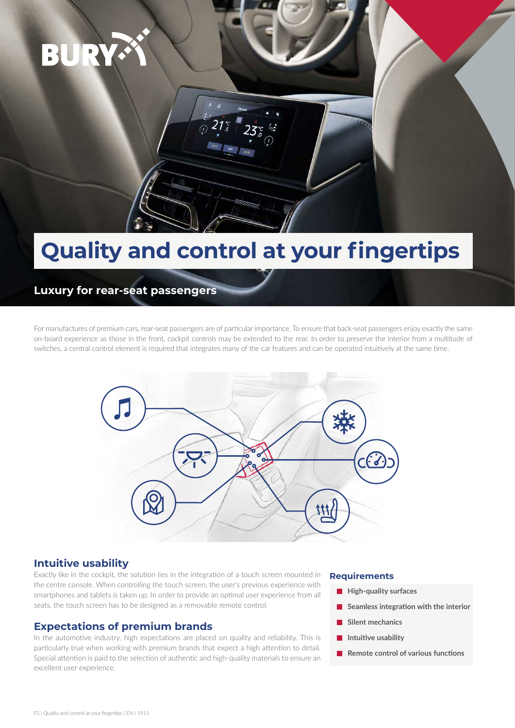

# **Quality and control at your fingertips**

## **Luxury for rear-seat passengers**

For manufactures of premium cars, rear-seat passengers are of particular importance. To ensure that back-seat passengers enjoy exactly the same on-board experience as those in the front, cockpit controls may be extended to the rear. In order to preserve the interior from a multitude of switches, a central control element is required that integrates many of the car features and can be operated intuitively at the same time.



### **Intuitive usability**

Exactly like in the cockpit, the solution lies in the integration of a touch screen mounted in the centre console. When controlling the touch screen, the user's previous experience with smartphones and tablets is taken up. In order to provide an optimal user experience from all seats, the touch screen has to be designed as a removable remote control.

### **Expectations of premium brands**

In the automotive industry, high expectations are placed on quality and reliability. This is particularly true when working with premium brands that expect a high attention to detail. Special attention is paid to the selection of authentic and high-quality materials to ensure an excellent user experience.

#### **Requirements**

- **High-quality surfaces** П
- **Seamless integration with the interior**
- **Silent mechanics**
- **Intuitive usability**
- **Remote control of various functions Tale**